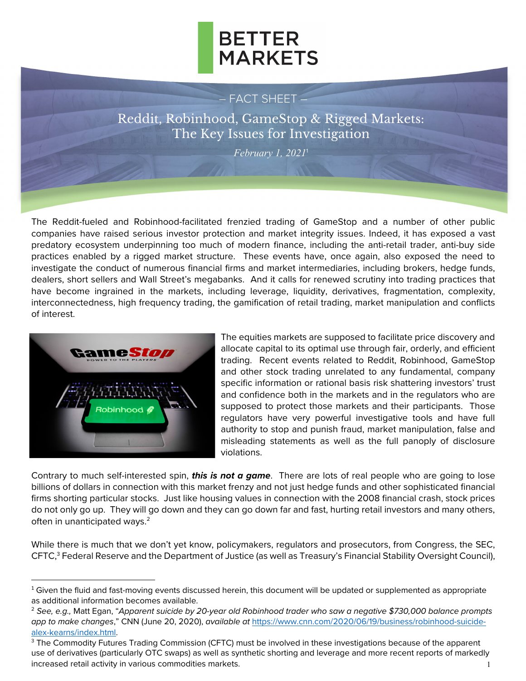

#### – FACT SHEET –

Reddit, Robinhood, GameStop & Rigged Markets: The Key Issues for Investigation

*February 1, 2021*<sup>1</sup>

The Reddit-fueled and Robinhood-facilitated frenzied trading of GameStop and a number of other public companies have raised serious investor protection and market integrity issues. Indeed, it has exposed a vast predatory ecosystem underpinning too much of modern finance, including the anti-retail trader, anti-buy side practices enabled by a rigged market structure. These events have, once again, also exposed the need to investigate the conduct of numerous financial firms and market intermediaries, including brokers, hedge funds, dealers, short sellers and Wall Street's megabanks. And it calls for renewed scrutiny into trading practices that have become ingrained in the markets, including leverage, liquidity, derivatives, fragmentation, complexity, interconnectedness, high frequency trading, the gamification of retail trading, market manipulation and conflicts of interest.



The equities markets are supposed to facilitate price discovery and allocate capital to its optimal use through fair, orderly, and efficient trading. Recent events related to Reddit, Robinhood, GameStop and other stock trading unrelated to any fundamental, company specific information or rational basis risk shattering investors' trust and confidence both in the markets and in the regulators who are supposed to protect those markets and their participants. Those regulators have very powerful investigative tools and have full authority to stop and punish fraud, market manipulation, false and misleading statements as well as the full panoply of disclosure violations.

Contrary to much self-interested spin, *this is not a game*. There are lots of real people who are going to lose billions of dollars in connection with this market frenzy and not just hedge funds and other sophisticated financial firms shorting particular stocks. Just like housing values in connection with the 2008 financial crash, stock prices do not only go up. They will go down and they can go down far and fast, hurting retail investors and many others, often in unanticipated ways. $2$ 

While there is much that we don't yet know, policymakers, regulators and prosecutors, from Congress, the SEC, CFTC,<sup>3</sup> Federal Reserve and the Department of Justice (as well as Treasury's Financial Stability Oversight Council),

 $1$  Given the fluid and fast-moving events discussed herein, this document will be updated or supplemented as appropriate as additional information becomes available.

<sup>2</sup> *See, e.g.,* Matt Egan, "*Apparent suicide by 20-year old Robinhood trader who saw a negative \$730,000 balance prompts app to make changes*," CNN (June 20, 2020), *available at* https://www.cnn.com/2020/06/19/business/robinhood-suicide-

alex-kearns/index.html.<br><sup>3</sup> The Commodity Futures Trading Commission (CFTC) must be involved in these investigations because of the apparent use of derivatives (particularly OTC swaps) as well as synthetic shorting and leverage and more recent reports of markedly increased retail activity in various commodities markets. The state of the state of the state of the state of the state of the state of the state of the state of the state of the state of the state of the state of the stat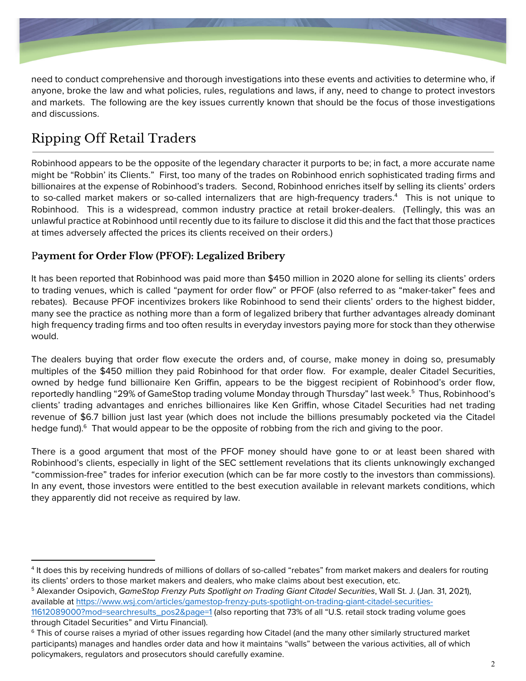

need to conduct comprehensive and thorough investigations into these events and activities to determine who, if anyone, broke the law and what policies, rules, regulations and laws, if any, need to change to protect investors and markets. The following are the key issues currently known that should be the focus of those investigations and discussions.

## Ripping Off Retail Traders

Robinhood appears to be the opposite of the legendary character it purports to be; in fact, a more accurate name might be "Robbin' its Clients." First, too many of the trades on Robinhood enrich sophisticated trading firms and billionaires at the expense of Robinhood's traders. Second, Robinhood enriches itself by selling its clients' orders to so-called market makers or so-called internalizers that are high-frequency traders.4 This is not unique to Robinhood. This is a widespread, common industry practice at retail broker-dealers. (Tellingly, this was an unlawful practice at Robinhood until recently due to its failure to disclose it did this and the fact that those practices at times adversely affected the prices its clients received on their orders.)

### P**ayment for Order Flow (PFOF): Legalized Bribery**

It has been reported that Robinhood was paid more than \$450 million in 2020 alone for selling its clients' orders to trading venues, which is called "payment for order flow" or PFOF (also referred to as "maker-taker" fees and rebates). Because PFOF incentivizes brokers like Robinhood to send their clients' orders to the highest bidder, many see the practice as nothing more than a form of legalized bribery that further advantages already dominant high frequency trading firms and too often results in everyday investors paying more for stock than they otherwise would.

The dealers buying that order flow execute the orders and, of course, make money in doing so, presumably multiples of the \$450 million they paid Robinhood for that order flow. For example, dealer Citadel Securities, owned by hedge fund billionaire Ken Griffin, appears to be the biggest recipient of Robinhood's order flow, reportedly handling "29% of GameStop trading volume Monday through Thursday" last week.<sup>5</sup> Thus, Robinhood's clients' trading advantages and enriches billionaires like Ken Griffin, whose Citadel Securities had net trading revenue of \$6.7 billion just last year (which does not include the billions presumably pocketed via the Citadel hedge fund).<sup>6</sup> That would appear to be the opposite of robbing from the rich and giving to the poor.

There is a good argument that most of the PFOF money should have gone to or at least been shared with Robinhood's clients, especially in light of the SEC settlement revelations that its clients unknowingly exchanged "commission-free" trades for inferior execution (which can be far more costly to the investors than commissions). In any event, those investors were entitled to the best execution available in relevant markets conditions, which they apparently did not receive as required by law.

<sup>4</sup> It does this by receiving hundreds of millions of dollars of so-called "rebates" from market makers and dealers for routing its clients' orders to those market makers and dealers, who make claims about best execution, etc.

<sup>5</sup> Alexander Osipovich, *GameStop Frenzy Puts Spotlight on Trading Giant Citadel Securities*, Wall St. J. (Jan. 31, 2021), available at https://www.wsj.com/articles/gamestop-frenzy-puts-spotlight-on-trading-giant-citadel-securities-

<sup>11612089000?</sup>mod=searchresults\_pos2&page=1 (also reporting that 73% of all "U.S. retail stock trading volume goes through Citadel Securities" and Virtu Financial).<br><sup>6</sup> This of course raises a myriad of other issues regarding how Citadel (and the many other similarly structured market

participants) manages and handles order data and how it maintains "walls" between the various activities, all of which policymakers, regulators and prosecutors should carefully examine.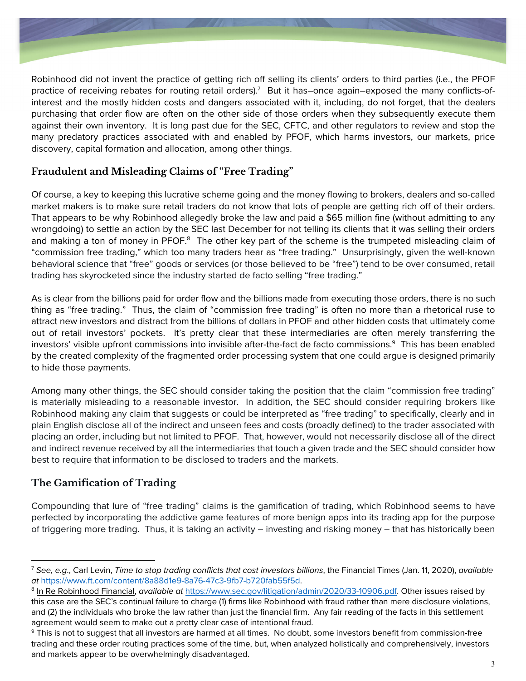

Robinhood did not invent the practice of getting rich off selling its clients' orders to third parties (i.e., the PFOF practice of receiving rebates for routing retail orders).<sup>7</sup> But it has–once again–exposed the many conflicts-ofinterest and the mostly hidden costs and dangers associated with it, including, do not forget, that the dealers purchasing that order flow are often on the other side of those orders when they subsequently execute them against their own inventory. It is long past due for the SEC, CFTC, and other regulators to review and stop the many predatory practices associated with and enabled by PFOF, which harms investors, our markets, price discovery, capital formation and allocation, among other things.

### **Fraudulent and Misleading Claims of "Free Trading"**

Of course, a key to keeping this lucrative scheme going and the money flowing to brokers, dealers and so-called market makers is to make sure retail traders do not know that lots of people are getting rich off of their orders. That appears to be why Robinhood allegedly broke the law and paid a \$65 million fine (without admitting to any wrongdoing) to settle an action by the SEC last December for not telling its clients that it was selling their orders and making a ton of money in PFOF.<sup>8</sup> The other key part of the scheme is the trumpeted misleading claim of "commission free trading," which too many traders hear as "free trading." Unsurprisingly, given the well-known behavioral science that "free" goods or services (or those believed to be "free") tend to be over consumed, retail trading has skyrocketed since the industry started de facto selling "free trading."

As is clear from the billions paid for order flow and the billions made from executing those orders, there is no such thing as "free trading." Thus, the claim of "commission free trading" is often no more than a rhetorical ruse to attract new investors and distract from the billions of dollars in PFOF and other hidden costs that ultimately come out of retail investors' pockets. It's pretty clear that these intermediaries are often merely transferring the investors' visible upfront commissions into invisible after-the-fact de facto commissions. $^9\,$  This has been enabled by the created complexity of the fragmented order processing system that one could argue is designed primarily to hide those payments.

Among many other things, the SEC should consider taking the position that the claim "commission free trading" is materially misleading to a reasonable investor. In addition, the SEC should consider requiring brokers like Robinhood making any claim that suggests or could be interpreted as "free trading" to specifically, clearly and in plain English disclose all of the indirect and unseen fees and costs (broadly defined) to the trader associated with placing an order, including but not limited to PFOF. That, however, would not necessarily disclose all of the direct and indirect revenue received by all the intermediaries that touch a given trade and the SEC should consider how best to require that information to be disclosed to traders and the markets.

### **The Gamification of Trading**

Compounding that lure of "free trading" claims is the gamification of trading, which Robinhood seems to have perfected by incorporating the addictive game features of more benign apps into its trading app for the purpose of triggering more trading. Thus, it is taking an activity – investing and risking money – that has historically been

<sup>7</sup> *See, e.g*., Carl Levin, *Time to stop trading conflicts that cost investors billions*, the Financial Times (Jan. 11, 2020), *available at* https://www.ft.com/content/8a88d1e9-8a76-47c3-9fb7-b720fab55f5d.

<sup>8</sup> In Re Robinhood Financial, *available at* https://www.sec.gov/litigation/admin/2020/33-10906.pdf. Other issues raised by this case are the SEC's continual failure to charge (1) firms like Robinhood with fraud rather than mere disclosure violations, and (2) the individuals who broke the law rather than just the financial firm. Any fair reading of the facts in this settlement agreement would seem to make out a pretty clear case of intentional fraud.

<sup>&</sup>lt;sup>9</sup> This is not to suggest that all investors are harmed at all times. No doubt, some investors benefit from commission-free trading and these order routing practices some of the time, but, when analyzed holistically and comprehensively, investors and markets appear to be overwhelmingly disadvantaged.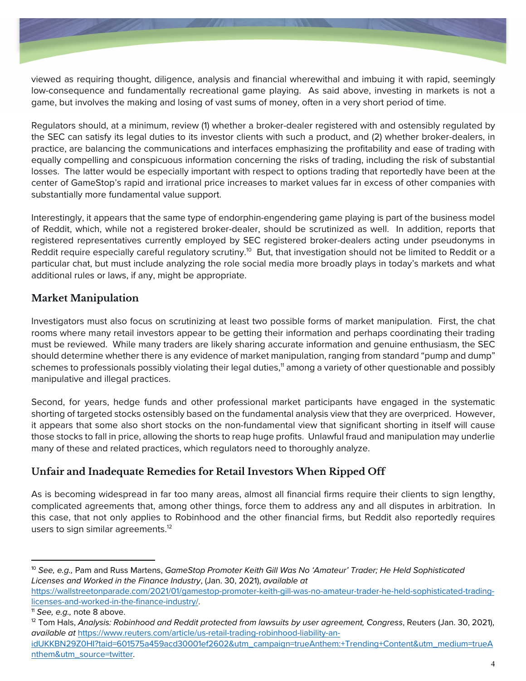

viewed as requiring thought, diligence, analysis and financial wherewithal and imbuing it with rapid, seemingly low-consequence and fundamentally recreational game playing. As said above, investing in markets is not a game, but involves the making and losing of vast sums of money, often in a very short period of time.

Regulators should, at a minimum, review (1) whether a broker-dealer registered with and ostensibly regulated by the SEC can satisfy its legal duties to its investor clients with such a product, and (2) whether broker-dealers, in practice, are balancing the communications and interfaces emphasizing the profitability and ease of trading with equally compelling and conspicuous information concerning the risks of trading, including the risk of substantial losses. The latter would be especially important with respect to options trading that reportedly have been at the center of GameStop's rapid and irrational price increases to market values far in excess of other companies with substantially more fundamental value support.

Interestingly, it appears that the same type of endorphin-engendering game playing is part of the business model of Reddit, which, while not a registered broker-dealer, should be scrutinized as well. In addition, reports that registered representatives currently employed by SEC registered broker-dealers acting under pseudonyms in Reddit require especially careful requlatory scrutiny.<sup>10</sup> But, that investigation should not be limited to Reddit or a particular chat, but must include analyzing the role social media more broadly plays in today's markets and what additional rules or laws, if any, might be appropriate.

### **Market Manipulation**

Investigators must also focus on scrutinizing at least two possible forms of market manipulation. First, the chat rooms where many retail investors appear to be getting their information and perhaps coordinating their trading must be reviewed. While many traders are likely sharing accurate information and genuine enthusiasm, the SEC should determine whether there is any evidence of market manipulation, ranging from standard "pump and dump" schemes to professionals possibly violating their legal duties,<sup>11</sup> among a variety of other questionable and possibly manipulative and illegal practices.

Second, for years, hedge funds and other professional market participants have engaged in the systematic shorting of targeted stocks ostensibly based on the fundamental analysis view that they are overpriced. However, it appears that some also short stocks on the non-fundamental view that significant shorting in itself will cause those stocks to fall in price, allowing the shorts to reap huge profits. Unlawful fraud and manipulation may underlie many of these and related practices, which regulators need to thoroughly analyze.

### **Unfair and Inadequate Remedies for Retail Investors When Ripped Off**

As is becoming widespread in far too many areas, almost all financial firms require their clients to sign lengthy, complicated agreements that, among other things, force them to address any and all disputes in arbitration. In this case, that not only applies to Robinhood and the other financial firms, but Reddit also reportedly requires users to sign similar agreements.<sup>12</sup>

<sup>10</sup> *See, e.g.,* Pam and Russ Martens, *GameStop Promoter Keith Gill Was No 'Amateur' Trader; He Held Sophisticated Licenses and Worked in the Finance Industry*, (Jan. 30, 2021), *available at* 

https://wallstreetonparade.com/2021/01/gamestop-promoter-keith-gill-was-no-amateur-trader-he-held-sophisticated-tradinglicenses-and-worked-in-the-finance-industry/.

<sup>&</sup>lt;sup>11</sup> See, e.g., note 8 above.<br><sup>12</sup> Tom Hals, *Analysis: Robinhood and Reddit protected from lawsuits by user agreement, Congress, Reuters (Jan. 30, 2021), available at* https://www.reuters.com/article/us-retail-trading-robinhood-liability-an-

idUKKBN29Z0HI?taid=601575a459acd30001ef2602&utm\_campaign=trueAnthem:+Trending+Content&utm\_medium=trueA nthem&utm\_source=twitter.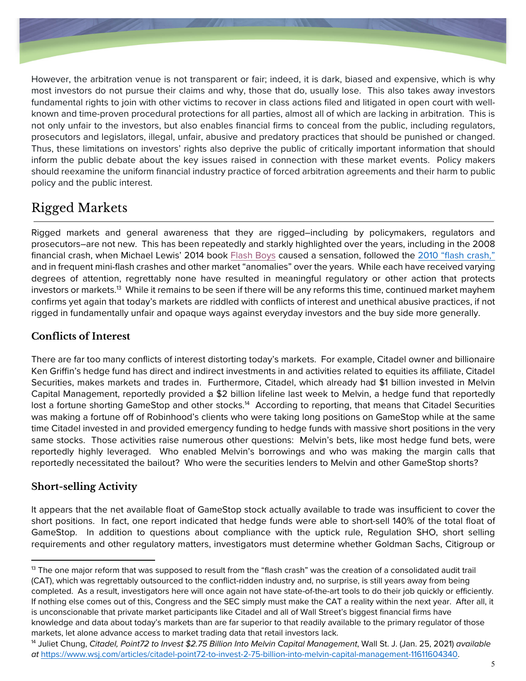

However, the arbitration venue is not transparent or fair; indeed, it is dark, biased and expensive, which is why most investors do not pursue their claims and why, those that do, usually lose. This also takes away investors fundamental rights to join with other victims to recover in class actions filed and litigated in open court with wellknown and time-proven procedural protections for all parties, almost all of which are lacking in arbitration. This is not only unfair to the investors, but also enables financial firms to conceal from the public, including regulators, prosecutors and legislators, illegal, unfair, abusive and predatory practices that should be punished or changed. Thus, these limitations on investors' rights also deprive the public of critically important information that should inform the public debate about the key issues raised in connection with these market events. Policy makers should reexamine the uniform financial industry practice of forced arbitration agreements and their harm to public policy and the public interest.

## Rigged Markets

Rigged markets and general awareness that they are rigged–including by policymakers, regulators and prosecutors–are not new. This has been repeatedly and starkly highlighted over the years, including in the 2008 financial crash, when Michael Lewis' 2014 book Flash Boys caused a sensation, followed the 2010 "flash crash," and in frequent mini-flash crashes and other market "anomalies" over the years. While each have received varying degrees of attention, regrettably none have resulted in meaningful regulatory or other action that protects investors or markets.<sup>13</sup> While it remains to be seen if there will be any reforms this time, continued market mayhem confirms yet again that today's markets are riddled with conflicts of interest and unethical abusive practices, if not rigged in fundamentally unfair and opaque ways against everyday investors and the buy side more generally.

### **Conflicts of Interest**

There are far too many conflicts of interest distorting today's markets. For example, Citadel owner and billionaire Ken Griffin's hedge fund has direct and indirect investments in and activities related to equities its affiliate, Citadel Securities, makes markets and trades in. Furthermore, Citadel, which already had \$1 billion invested in Melvin Capital Management, reportedly provided a \$2 billion lifeline last week to Melvin, a hedge fund that reportedly lost a fortune shorting GameStop and other stocks.<sup>14</sup> According to reporting, that means that Citadel Securities was making a fortune off of Robinhood's clients who were taking long positions on GameStop while at the same time Citadel invested in and provided emergency funding to hedge funds with massive short positions in the very same stocks. Those activities raise numerous other questions: Melvin's bets, like most hedge fund bets, were reportedly highly leveraged. Who enabled Melvin's borrowings and who was making the margin calls that reportedly necessitated the bailout? Who were the securities lenders to Melvin and other GameStop shorts?

### **Short-selling Activity**

It appears that the net available float of GameStop stock actually available to trade was insufficient to cover the short positions. In fact, one report indicated that hedge funds were able to short-sell 140% of the total float of GameStop. In addition to questions about compliance with the uptick rule, Regulation SHO, short selling requirements and other regulatory matters, investigators must determine whether Goldman Sachs, Citigroup or

 $13$  The one major reform that was supposed to result from the "flash crash" was the creation of a consolidated audit trail (CAT), which was regrettably outsourced to the conflict-ridden industry and, no surprise, is still years away from being completed. As a result, investigators here will once again not have state-of-the-art tools to do their job quickly or efficiently. If nothing else comes out of this, Congress and the SEC simply must make the CAT a reality within the next year. After all, it is unconscionable that private market participants like Citadel and all of Wall Street's biggest financial firms have knowledge and data about today's markets than are far superior to that readily available to the primary regulator of those markets, let alone advance access to market trading data that retail investors lack.

<sup>14</sup> Juliet Chung, *Citadel, Point72 to Invest \$2.75 Billion Into Melvin Capital Management*, Wall St. J. (Jan. 25, 2021) *available at* https://www.wsj.com/articles/citadel-point72-to-invest-2-75-billion-into-melvin-capital-management-11611604340.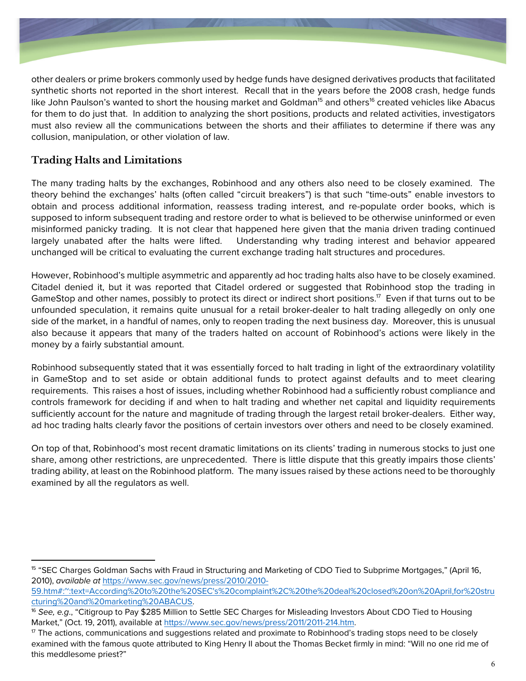

other dealers or prime brokers commonly used by hedge funds have designed derivatives products that facilitated synthetic shorts not reported in the short interest. Recall that in the years before the 2008 crash, hedge funds like John Paulson's wanted to short the housing market and Goldman<sup>15</sup> and others<sup>16</sup> created vehicles like Abacus for them to do just that. In addition to analyzing the short positions, products and related activities, investigators must also review all the communications between the shorts and their affiliates to determine if there was any collusion, manipulation, or other violation of law.

### **Trading Halts and Limitations**

The many trading halts by the exchanges, Robinhood and any others also need to be closely examined. The theory behind the exchanges' halts (often called "circuit breakers") is that such "time-outs" enable investors to obtain and process additional information, reassess trading interest, and re-populate order books, which is supposed to inform subsequent trading and restore order to what is believed to be otherwise uninformed or even misinformed panicky trading. It is not clear that happened here given that the mania driven trading continued largely unabated after the halts were lifted. Understanding why trading interest and behavior appeared unchanged will be critical to evaluating the current exchange trading halt structures and procedures.

However, Robinhood's multiple asymmetric and apparently ad hoc trading halts also have to be closely examined. Citadel denied it, but it was reported that Citadel ordered or suggested that Robinhood stop the trading in GameStop and other names, possibly to protect its direct or indirect short positions.<sup>17</sup> Even if that turns out to be unfounded speculation, it remains quite unusual for a retail broker-dealer to halt trading allegedly on only one side of the market, in a handful of names, only to reopen trading the next business day. Moreover, this is unusual also because it appears that many of the traders halted on account of Robinhood's actions were likely in the money by a fairly substantial amount.

Robinhood subsequently stated that it was essentially forced to halt trading in light of the extraordinary volatility in GameStop and to set aside or obtain additional funds to protect against defaults and to meet clearing requirements. This raises a host of issues, including whether Robinhood had a sufficiently robust compliance and controls framework for deciding if and when to halt trading and whether net capital and liquidity requirements sufficiently account for the nature and magnitude of trading through the largest retail broker-dealers. Either way, ad hoc trading halts clearly favor the positions of certain investors over others and need to be closely examined.

On top of that, Robinhood's most recent dramatic limitations on its clients' trading in numerous stocks to just one share, among other restrictions, are unprecedented. There is little dispute that this greatly impairs those clients' trading ability, at least on the Robinhood platform. The many issues raised by these actions need to be thoroughly examined by all the regulators as well.

<sup>15</sup> "SEC Charges Goldman Sachs with Fraud in Structuring and Marketing of CDO Tied to Subprime Mortgages," (April 16, 2010), *available at* https://www.sec.gov/news/press/2010/2010-

<sup>59.</sup>htm#:~:text=According%20to%20the%20SEC's%20complaint%2C%20the%20deal%20closed%20on%20April,for%20stru cturing%20and%20marketing%20ABACUS.<br><sup>16</sup> See, e.g., "Citigroup to Pay \$285 Million to Settle SEC Charges for Misleading Investors About CDO Tied to Housing

Market," (Oct. 19, 2011), available at https://www.sec.gov/news/press/2011/2011-214.htm.<br><sup>17</sup> The actions, communications and suggestions related and proximate to Robinhood's trading stops need to be closely

examined with the famous quote attributed to King Henry II about the Thomas Becket firmly in mind: "Will no one rid me of this meddlesome priest?"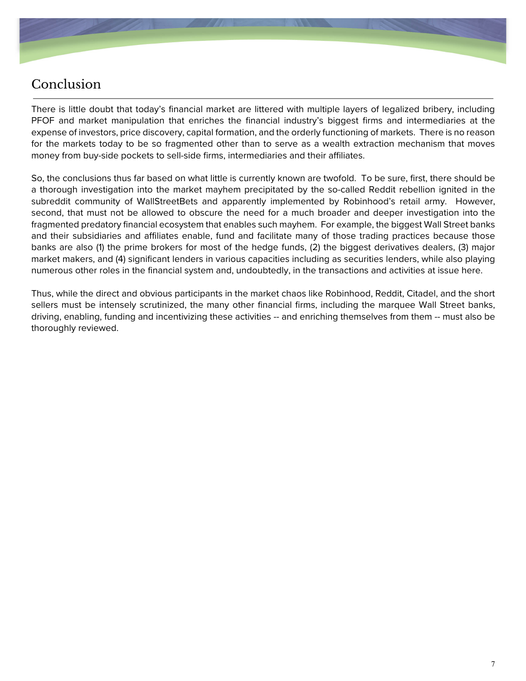

### Conclusion

There is little doubt that today's financial market are littered with multiple layers of legalized bribery, including PFOF and market manipulation that enriches the financial industry's biggest firms and intermediaries at the expense of investors, price discovery, capital formation, and the orderly functioning of markets. There is no reason for the markets today to be so fragmented other than to serve as a wealth extraction mechanism that moves money from buy-side pockets to sell-side firms, intermediaries and their affiliates.

So, the conclusions thus far based on what little is currently known are twofold. To be sure, first, there should be a thorough investigation into the market mayhem precipitated by the so-called Reddit rebellion ignited in the subreddit community of WallStreetBets and apparently implemented by Robinhood's retail army. However, second, that must not be allowed to obscure the need for a much broader and deeper investigation into the fragmented predatory financial ecosystem that enables such mayhem. For example, the biggest Wall Street banks and their subsidiaries and affiliates enable, fund and facilitate many of those trading practices because those banks are also (1) the prime brokers for most of the hedge funds, (2) the biggest derivatives dealers, (3) major market makers, and (4) significant lenders in various capacities including as securities lenders, while also playing numerous other roles in the financial system and, undoubtedly, in the transactions and activities at issue here.

Thus, while the direct and obvious participants in the market chaos like Robinhood, Reddit, Citadel, and the short sellers must be intensely scrutinized, the many other financial firms, including the marquee Wall Street banks, driving, enabling, funding and incentivizing these activities -- and enriching themselves from them -- must also be thoroughly reviewed.